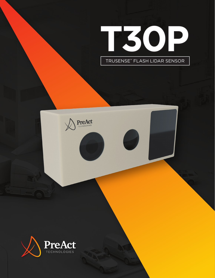